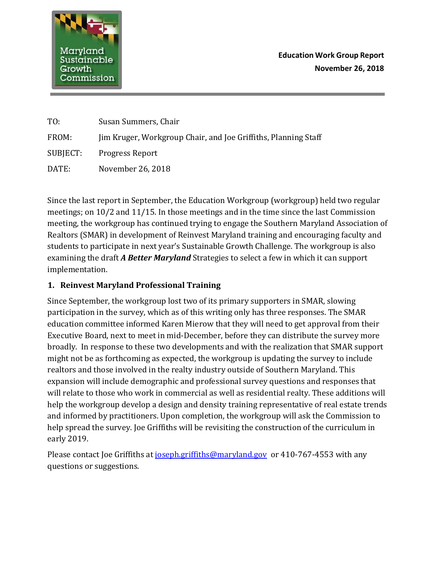

| TO:      | Susan Summers, Chair                                           |
|----------|----------------------------------------------------------------|
| FROM:    | Jim Kruger, Workgroup Chair, and Joe Griffiths, Planning Staff |
| SUBJECT: | Progress Report                                                |
| DATE:    | November 26, 2018                                              |

Since the last report in September, the Education Workgroup (workgroup) held two regular meetings; on 10/2 and 11/15. In those meetings and in the time since the last Commission meeting, the workgroup has continued trying to engage the Southern Maryland Association of Realtors (SMAR) in development of Reinvest Maryland training and encouraging faculty and students to participate in next year's Sustainable Growth Challenge. The workgroup is also examining the draft *A Better Maryland* Strategies to select a few in which it can support implementation.

## **1. Reinvest Maryland Professional Training**

Since September, the workgroup lost two of its primary supporters in SMAR, slowing participation in the survey, which as of this writing only has three responses. The SMAR education committee informed Karen Mierow that they will need to get approval from their Executive Board, next to meet in mid-December, before they can distribute the survey more broadly. In response to these two developments and with the realization that SMAR support might not be as forthcoming as expected, the workgroup is updating the survey to include realtors and those involved in the realty industry outside of Southern Maryland. This expansion will include demographic and professional survey questions and responses that will relate to those who work in commercial as well as residential realty. These additions will help the workgroup develop a design and density training representative of real estate trends and informed by practitioners. Upon completion, the workgroup will ask the Commission to help spread the survey. Joe Griffiths will be revisiting the construction of the curriculum in early 2019.

Please contact Joe Griffiths at *joseph.griffiths@maryland.gov* or 410-767-4553 with any questions or suggestions.